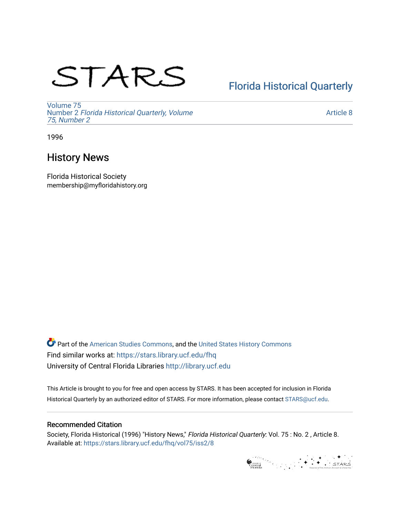# STARS

# [Florida Historical Quarterly](https://stars.library.ucf.edu/fhq)

[Volume 75](https://stars.library.ucf.edu/fhq/vol75) Number 2 [Florida Historical Quarterly, Volume](https://stars.library.ucf.edu/fhq/vol75/iss2)  [75, Number 2](https://stars.library.ucf.edu/fhq/vol75/iss2)

[Article 8](https://stars.library.ucf.edu/fhq/vol75/iss2/8) 

1996

## History News

Florida Historical Society membership@myfloridahistory.org

**C** Part of the [American Studies Commons](http://network.bepress.com/hgg/discipline/439?utm_source=stars.library.ucf.edu%2Ffhq%2Fvol75%2Fiss2%2F8&utm_medium=PDF&utm_campaign=PDFCoverPages), and the United States History Commons Find similar works at: <https://stars.library.ucf.edu/fhq> University of Central Florida Libraries [http://library.ucf.edu](http://library.ucf.edu/) 

This Article is brought to you for free and open access by STARS. It has been accepted for inclusion in Florida Historical Quarterly by an authorized editor of STARS. For more information, please contact [STARS@ucf.edu.](mailto:STARS@ucf.edu)

## Recommended Citation

Society, Florida Historical (1996) "History News," Florida Historical Quarterly: Vol. 75 : No. 2 , Article 8. Available at: [https://stars.library.ucf.edu/fhq/vol75/iss2/8](https://stars.library.ucf.edu/fhq/vol75/iss2/8?utm_source=stars.library.ucf.edu%2Ffhq%2Fvol75%2Fiss2%2F8&utm_medium=PDF&utm_campaign=PDFCoverPages) 

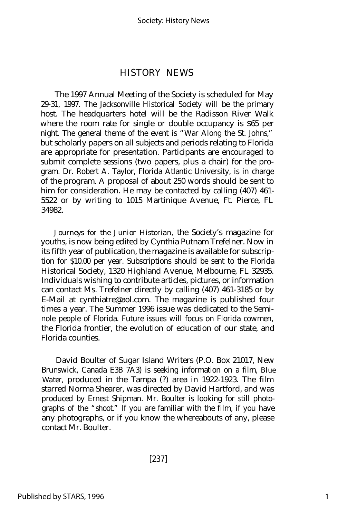### HISTORY NEWS

The 1997 Annual Meeting of the Society is scheduled for May 29-31, 1997. The Jacksonville Historical Society will be the primary host. The headquarters hotel will be the Radisson River Walk where the room rate for single or double occupancy is \$65 per night. The general theme of the event is "War Along the St. Johns," but scholarly papers on all subjects and periods relating to Florida are appropriate for presentation. Participants are encouraged to submit complete sessions (two papers, plus a chair) for the program. Dr. Robert A. Taylor, Florida Atlantic University, is in charge of the program. A proposal of about 250 words should be sent to him for consideration. He may be contacted by calling (407) 461-5522 or by writing to 1015 Martinique Avenue, Ft. Pierce, FL 34982.

*Journeys for the Junior Historian,* the Society's magazine for youths, is now being edited by Cynthia Putnam Trefelner. Now in its fifth year of publication, the magazine is available for subscription for \$10.00 per year. Subscriptions should be sent to the Florida Historical Society, 1320 Highland Avenue, Melbourne, FL 32935. Individuals wishing to contribute articles, pictures, or information can contact Ms. Trefelner directly by calling (407) 461-3185 or by E-Mail at cynthiatre@aol.com. The magazine is published four times a year. The Summer 1996 issue was dedicated to the Seminole people of Florida. Future issues will focus on Florida cowmen, the Florida frontier, the evolution of education of our state, and Florida counties.

David Boulter of Sugar Island Writers (P.O. Box 21017, New Brunswick, Canada E3B 7A3) is seeking information on a film, *Blue Water,* produced in the Tampa (?) area in 1922-1923. The film starred Norma Shearer, was directed by David Hartford, and was produced by Ernest Shipman. Mr. Boulter is looking for still photographs of the "shoot." If you are familiar with the film, if you have any photographs, or if you know the whereabouts of any, please contact Mr. Boulter.

[237]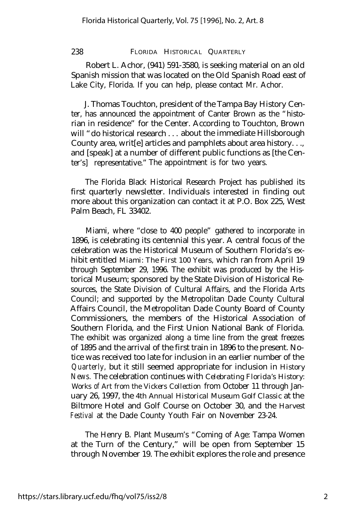#### 238 FLORIDA HISTORICAL QUARTERLY

Robert L. Achor, (941) 591-3580, is seeking material on an old Spanish mission that was located on the Old Spanish Road east of Lake City, Florida. If you can help, please contact Mr. Achor.

J. Thomas Touchton, president of the Tampa Bay History Center, has announced the appointment of Canter Brown as the "historian in residence" for the Center. According to Touchton, Brown will "do historical research . . . about the immediate Hillsborough County area, writ[e] articles and pamphlets about area history. . ., and [speak] at a number of different public functions as [the Center's] representative." The appointment is for two years.

The Florida Black Historical Research Project has published its first quarterly newsletter. Individuals interested in finding out more about this organization can contact it at P.O. Box 225, West Palm Beach, FL 33402.

Miami, where "close to 400 people" gathered to incorporate in 1896, is celebrating its centennial this year. A central focus of the celebration was the Historical Museum of Southern Florida's exhibit entitled *Miami: The First 100 Years,* which ran from April 19 through September 29, 1996. The exhibit was produced by the Historical Museum; sponsored by the State Division of Historical Resources, the State Division of Cultural Affairs, and the Florida Arts Council; and supported by the Metropolitan Dade County Cultural Affairs Council, the Metropolitan Dade County Board of County Commissioners, the members of the Historical Association of Southern Florida, and the First Union National Bank of Florida. The exhibit was organized along a time line from the great freezes of 1895 and the arrival of the first train in 1896 to the present. Notice was received too late for inclusion in an earlier number of the *Quarterly,* but it still seemed appropriate for inclusion in *History News.* The celebration continues with *Celebrating Florida's History: Works of Art from the Vickers Collection* from October 11 through January 26, 1997, the *4th Annual Historical Museum Golf Classic* at the Biltmore Hotel and Golf Course on October 30, and the *Harvest Festival* at the Dade County Youth Fair on November 23-24.

The Henry B. Plant Museum's "Coming of Age: Tampa Women at the Turn of the Century," will be open from September 15 through November 19. The exhibit explores the role and presence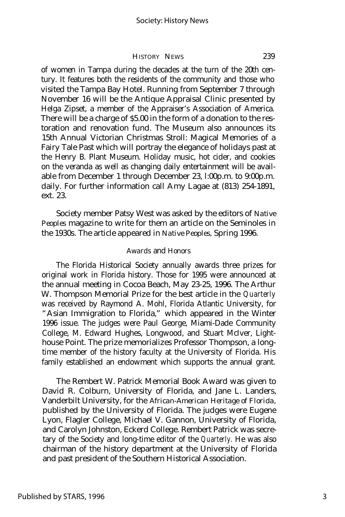HISTORY NEWS 239

of women in Tampa during the decades at the turn of the 20th century. It features both the residents of the community and those who visited the Tampa Bay Hotel. Running from September 7 through November 16 will be the Antique Appraisal Clinic presented by Helga Zipset, a member of the Appraiser's Association of America. There will be a charge of \$5.00 in the form of a donation to the restoration and renovation fund. The Museum also announces its 15th Annual Victorian Christmas Stroll: Magical Memories of a Fairy Tale Past which will portray the elegance of holidays past at the Henry B. Plant Museum. Holiday music, hot cider, and cookies on the veranda as well as changing daily entertainment will be available from December 1 through December 23, l:00p.m. to 9:00p.m. daily. For further information call Amy Lagae at (813) 254-1891, ext. 23.

Society member Patsy West was asked by the editors of *Native Peoples* magazine to write for them an article on the Seminoles in the 1930s. The article appeared in *Native Peoples,* Spring 1996.

#### *Awards* and *Honors*

The Florida Historical Society annually awards three prizes for original work in Florida history. Those for 1995 were announced at the annual meeting in Cocoa Beach, May 23-25, 1996. The Arthur W. Thompson Memorial Prize for the best article in the *Quarterly* was received by Raymond A. Mohl, Florida Atlantic University, for "Asian Immigration to Florida," which appeared in the Winter 1996 issue. The judges were Paul George, Miami-Dade Community College, M. Edward Hughes, Longwood, and Stuart McIver, Lighthouse Point. The prize memorializes Professor Thompson, a longtime member of the history faculty at the University of Florida. His family established an endowment which supports the annual grant.

The Rembert W. Patrick Memorial Book Award was given to David R. Colburn, University of Florida, and Jane L. Landers, Vanderbilt University, for the *African-American Heritage of Florida,* published by the University of Florida. The judges were Eugene Lyon, Flagler College, Michael V. Gannon, University of Florida, and Carolyn Johnston, Eckerd College. Rembert Patrick was secretary of the Society and long-time editor of the *Quarterly.* He was also chairman of the history department at the University of Florida and past president of the Southern Historical Association.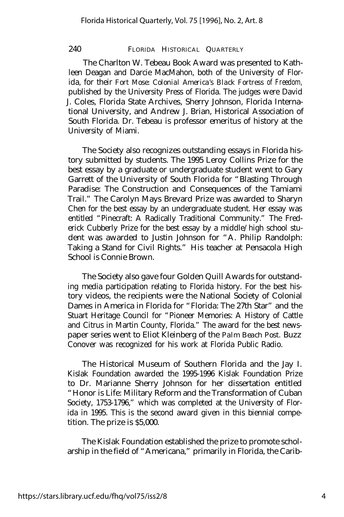#### 240 FLORIDA HISTORICAL QUARTERLY

The Charlton W. Tebeau Book Award was presented to Kathleen Deagan and Darcie MacMahon, both of the University of Florida, for their *Fort Mose: Colonial America's Black Fortress of Freedom,* published by the University Press of Florida. The judges were David J. Coles, Florida State Archives, Sherry Johnson, Florida International University, and Andrew J. Brian, Historical Association of South Florida. Dr. Tebeau is professor emeritus of history at the University of Miami.

The Society also recognizes outstanding essays in Florida history submitted by students. The 1995 Leroy Collins Prize for the best essay by a graduate or undergraduate student went to Gary Garrett of the University of South Florida for "Blasting Through Paradise: The Construction and Consequences of the Tamiami Trail." The Carolyn Mays Brevard Prize was awarded to Sharyn Chen for the best essay by an undergraduate student. Her essay was entitled "Pinecraft: A Radically Traditional Community." The Frederick Cubberly Prize for the best essay by a middle/high school student was awarded to Justin Johnson for "A. Philip Randolph: Taking a Stand for Civil Rights." His teacher at Pensacola High School is Connie Brown.

The Society also gave four Golden Quill Awards for outstanding media participation relating to Florida history. For the best history videos, the recipients were the National Society of Colonial Dames in America in Florida for "Florida: The 27th Star" and the Stuart Heritage Council for "Pioneer Memories: A History of Cattle and Citrus in Martin County, Florida." The award for the best newspaper series went to Eliot Kleinberg of the *Palm Beach Post.* Buzz Conover was recognized for his work at Florida Public Radio.

The Historical Museum of Southern Florida and the Jay I. Kislak Foundation awarded the 1995-1996 Kislak Foundation Prize to Dr. Marianne Sherry Johnson for her dissertation entitled "Honor is Life: Military Reform and the Transformation of Cuban Society, 1753-1796," which was completed at the University of Florida in 1995. This is the second award given in this biennial competition. The prize is \$5,000.

The Kislak Foundation established the prize to promote scholarship in the field of "Americana," primarily in Florida, the Carib-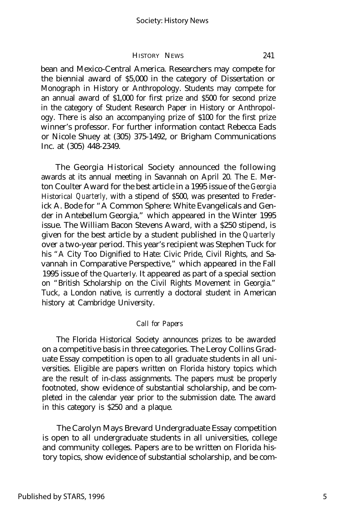#### HISTORY NEWS 241

bean and Mexico-Central America. Researchers may compete for the biennial award of \$5,000 in the category of Dissertation or Monograph in History or Anthropology. Students may compete for an annual award of \$1,000 for first prize and \$500 for second prize in the category of Student Research Paper in History or Anthropology. There is also an accompanying prize of \$100 for the first prize winner's professor. For further information contact Rebecca Eads or Nicole Shuey at (305) 375-1492, or Brigham Communications Inc. at (305) 448-2349.

The Georgia Historical Society announced the following awards at its annual meeting in Savannah on April 20. The E. Merton Coulter Award for the best article in a 1995 issue of the *Georgia Historical Quarterly,* with a stipend of \$500, was presented to Frederick A. Bode for "A Common Sphere: White Evangelicals and Gender in Antebellum Georgia," which appeared in the Winter 1995 issue. The William Bacon Stevens Award, with a \$250 stipend, is given for the best article by a student published in the *Quarterly* over a two-year period. This year's recipient was Stephen Tuck for his "A City Too Dignified to Hate: Civic Pride, Civil Rights, and Savannah in Comparative Perspective," which appeared in the Fall 1995 issue of the *Quarterly.* It appeared as part of a special section on "British Scholarship on the Civil Rights Movement in Georgia." Tuck, a London native, is currently a doctoral student in American history at Cambridge University.

#### *Call for Papers*

The Florida Historical Society announces prizes to be awarded on a competitive basis in three categories. The Leroy Collins Graduate Essay competition is open to all graduate students in all universities. Eligible are papers written on Florida history topics which are the result of in-class assignments. The papers must be properly footnoted, show evidence of substantial scholarship, and be completed in the calendar year prior to the submission date. The award in this category is \$250 and a plaque.

The Carolyn Mays Brevard Undergraduate Essay competition is open to all undergraduate students in all universities, college and community colleges. Papers are to be written on Florida history topics, show evidence of substantial scholarship, and be com-